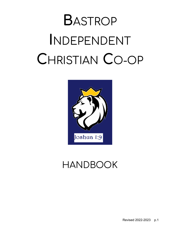# **B**ASTROP **I**NDEPENDENT **C**HRISTIAN **C**O-OP



# HANDBOOK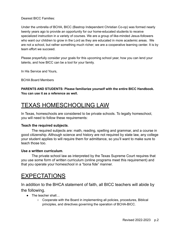Dearest BICC Families:

Under the umbrella of BCHA, BICC (Bastrop Independent Christian Co-op) was formed nearly twenty years ago to provide an opportunity for our home-educated students to receive specialized instruction in a variety of courses. We are a group of like-minded Jesus-followers who want our children to grow in the Lord as they are educated in more academic areas. We are not a school, but rather something much richer; we are a cooperative learning center. It is by team effort we succeed.

Please prayerfully consider your goals for this upcoming school year, how you can lend your talents, and how BICC can be a tool for your family.

In His Service and Yours,

BCHA Board Members

#### **PARENTS AND STUDENTS: Please familiarize yourself with the entire BICC Handbook. You can use it as a reference as well.**

# TEXAS HOMESCHOOLING LAW

In Texas, homeschools are considered to be private schools. To legally homeschool, you will need to follow these requirements:

#### **Teach the required subjects**.

The required subjects are: math, reading, spelling and grammar, and a course in good citizenship. Although science and history are not required by state law, any college your student applies to will require them for admittance, so you'll want to make sure to teach those too.

#### **Use a written curriculum**.

The private school law as interpreted by the Texas Supreme Court requires that you use some form of written curriculum (online programs meet this requirement) and that you operate your homeschool in a "bona fide" manner.

### EXPECTATIONS

In addition to the BHCA statement of faith, all BICC teachers will abide by the following.

- The teacher shall...
	- Cooperate with the Board in implementing all policies, procedures, Biblical principles, and directives governing the operation of BCHA-BICC.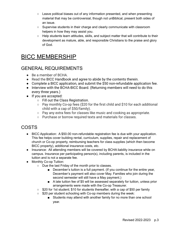- $\circ$  Leave political biases out of any information presented, and when presenting material that may be controversial, though not unBiblical, present both sides of an issue.
- Supervise students in their charge and clearly communicate with classroom helpers in how they may assist you.
- Help students learn attitudes, skills, and subject matter that will contribute to their development as mature, able, and responsible Christians to the praise and glory of God.

# BICC MEMBERSHIP

#### GENERAL REQUIREMENTS

- Be a member of BCHA.
- Read the [BICC Handbook](http://www.bcha.cc/wp-content/uploads/2021/03/BICC-Handbook-2021.pdf) and agree to abide by the contents therein.
- Complete a BICC application, and submit the \$50 non-refundable application fee.
- Interview with the BCHA-BICC Board. (Returning members will need to do this every three years.)
- If you are accepted:
	- Fill out the [Class Registration](http://www.bcha.cc/wp-content/uploads/2021/03/CLASS-REGISTRATION.pdf).
	- Pay monthly Co-op fees (\$20 for the first child and \$10 for each additional child with a cap of \$50/family).
	- Pay any extra fees for classes like music and cooking as appropriate.
	- Purchase or borrow required texts and materials for classes.

#### COSTS

- BICC Application: A \$50.00 non-refundable registration fee is due with your application. This fee helps cover building rental, curriculum, supplies, repair and replacement of church or Co-op property, reimbursing teachers for class supplies (which then become BICC property), additional insurance costs, etc.
- Insurance: All attending members will be covered by BCHA liability insurance while on campus. Insurance per participating person(s), including parents, is included in the tuition and is not a separate fee.
- Monthly Co-op Tuition:
	- Due the last Friday of the month prior to classes.
		- December's tuition is a full payment. (If you continue for the entire year, December's payment will also cover May. Families who join during the second semester will still have a May payment.)
		- A late tuition fee of \$5 will be assessed separately for tuition, unless prior arrangements were made with the Co-op Treasurer.
	- $\circ$  \$20 for 1st student; \$10 for students thereafter, with a cap of \$50 per family
	- \$20 per student schooling with Co-op members during the week:
		- Students may attend with another family for no more than one school year.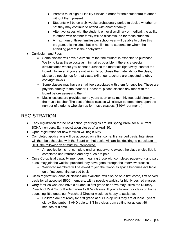- Parents must sign a Liability Waiver in order for their student(s) to attend without them present.
- Students will be on a six weeks probationary period to decide whether or not they may continue to attend with another family.
- After two issues with the student, either disciplinary or medical, the ability to attend with another family will be discontinued for those students.
- A maximum of three families per school year will be able to utilize this program, this includes, but is not limited to students for whom the attending parent is their babysitter.
- Curriculum and Fees:
	- $\circ$  Some classes will have a curriculum that the student is expected to purchase. We try to keep these costs as minimal as possible. If there is a special circumstance where you cannot purchase the materials right away, contact the Board. However, if you are not willing to purchase the materials for the class, please do not sign up for that class. (All of our teachers are expected to obey copyright laws.)
	- Some classes may have a small fee associated with them for supplies. These are payable directly to the teacher. (Teachers, please discuss any fees with the Board before assessing them.)
	- Music lessons are provided some years at an extra monthly fee, paid directly to the music teacher. The cost of these classes will always be dependent upon the number of students who sign up for music classes. (\$40+/- per month).

#### REGISTRATION

- Early registration for the next school year begins around Spring Break for all current BCHA members. Early registration closes after April 30.
- Open registration for new families will begin May 1.
- Completed applications will be accepted on a first come, first served basis. Interviews will then be scheduled with the Board on that basis. All families desiring to participate in BICC the following year must be interviewed.
	- $\circ$  An application is not complete until all paperwork, except the class choice list, is completed and returned and any dues are paid.
- Once Co-op is at capacity, members, meaning those with completed paperwork and paid dues, may join the waitlist, provided they have gone through the interview process.
	- Waitlisted members will be asked to join the Co-op as space becomes available on a first come, first served basis.
- Class registration, once all classes are available, will also be on a first come, first served basis for all accepted BICC members, with a possible waitlist for highly desired classes.
- **Only** families who also have a student in first grade or above may utilize the Nursery, Preschool 2s & 3s, or Kindergarten 4s & 5s classes. If you're looking for ideas on home educating little ones, our Preschool Director would be happy to assist you.
	- $\circ$  Children are not ready for first grade at our Co-op until they are at least 5 years old by September 1 AND able to SIT in a classroom setting for at least 40 minutes at a time.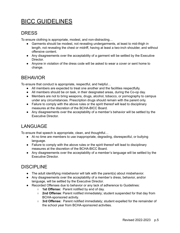# BICC GUIDELINES

#### **DRESS**

To ensure clothing is appropriate, modest, and non-distracting…

- Garments should be modest, not revealing undergarments, at least to mid-thigh in length, not revealing the chest or midriff, having at least a two-inch shoulder, and without offensive content.
- Any disagreements over the acceptability of a garment will be settled by the Executive Director.
- Anyone in violation of the dress code will be asked to wear a cover or sent home to change.

#### **BEHAVIOR**

To ensure that conduct is appropriate, respectful, and helpful…

- All members are expected to treat one another and the facilities respectfully.
- All members should be on task, in their designated areas, during the Co-op day.
- Members are not to bring weapons, drugs, alcohol, tobacco, or pornography to campus under any circumstances. Prescription drugs should remain with the parent only.
- Failure to comply with the above rules or the spirit thereof will lead to disciplinary measures at the discretion of the BCHA-BICC Board.
- Any disagreements over the acceptability of a member's behavior will be settled by the Executive Director.

#### LANGUAGE

To ensure that speech is appropriate, clean, and thoughtful…

- At no time are members to use inappropriate, degrading, disrespectful, or bullying language.
- Failure to comply with the above rules or the spirit thereof will lead to disciplinary measures at the discretion of the BCHA-BICC Board.
- Any disagreements over the acceptability of a member's language will be settled by the Executive Director.

#### DISCIPLINE

- The adult identifying misbehavior will talk with the parent(s) about misbehavior.
- Any disagreements over the acceptability of a member's dress, behavior, and/or language, will be settled by the Executive Director.
- Recorded Offenses due to behavior or any lack of adherence to Guidelines:
	- **1st Offense:** Parent notified by end of day.
	- **2nd Offense**: Parent notified immediately; student suspended for that day from BCHA-sponsored activity.
	- **3rd Offense:** Parent notified immediately; student expelled for the remainder of the school year from BCHA-sponsored activities.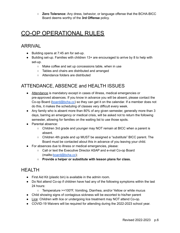**○ Zero Tolerance:** Any dress, behavior, or language offense that the BCHA-BICC Board deems worthy of the **3rd Offense** policy.

# CO-OP OPERATIONAL RULES

#### ARRIVAL

- Building opens at 7:45 am for set-up.
- Building set-up. Families with children 13+ are encouraged to arrive by 8 to help with set-up.
	- Make coffee and set up concessions table, when in use
	- Tables and chairs are distributed and arranged
	- Attendance folders are distributed

#### ATTENDANCE, ABSENCE and HEALTH ISSUES

- Attendance is mandatory except in cases of illness, medical emergencies or pre-approved absences. If you know in advance you will be absent, please contact the Co-op Board [\(board@bcha.cc](mailto:board@bastropchristianhomeschool.org)) so they can get it on the calendar. If a member does not do this, it makes the scheduling of classes very difficult every week.
- Any family who is absent more than 80% of any given semester, generally more than 3 days, barring an emergency or medical crisis, will be asked not to return the following semester, allowing for families on the waiting list to use those spots.
- Parental absence:
	- Children 3rd grade and younger may NOT remain at BICC when a parent is absent.
	- Children 4th grade and up MUST be assigned a "substitute" BICC parent. The Board must be contacted about this in advance of you leaving your child.
- For absences due to illness or medical emergencies, please:
	- Call or text the Executive Director ASAP and e-mail Co-op Board (mailto[:board@bcha.cc](mailto:board@bastropchristianhomeschool.org));
	- **○ Provide a helper or substitute with lesson plans for class.**

#### HEALTH

- First Aid Kit (plastic bin) is available in the admin room.
- Do Not attend Co-op if children have had any of the following symptoms within the last 24 hours:
	- Temperature >=100°F, Vomiting, Diarrhea, and/or Yellow or white mucus
- Child showing signs of contagious sickness will be escorted to his/her parent
- Lice: Children with lice or undergoing lice treatment may NOT attend Co-op.
- COVID-19 Waivers will be required for attending during the 2022-2023 school year.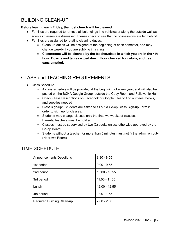#### BUILDING CLEAN-UP

#### **Before leaving each Friday, the host church will be cleaned.**

- Families are required to remove all belongings into vehicles or along the outside wall as soon as classes are dismissed. Please check to see that no possessions are left behind.
- Families are assigned to rotating cleaning duties.
	- Clean-up duties will be assigned at the beginning of each semester, and may change weekly if you are subbing in a class.
	- **○ Classrooms will be cleaned by the teacher/class in which you are in the 4th hour. Boards and tables wiped down, floor checked for debris, and trash cans emptied.**

#### CLASS and TEACHING REQUIREMENTS

- Class Schedule
	- $\circ$  A class schedule will be provided at the beginning of every year, and will also be posted on the BCHA Google Group, outside the Copy Room and Fellowship Hall
	- Check Class Descriptions on Facebook or Google Files to find out fees, books, and supplies needed
	- Class sign-up: Students are asked to fill out a Co-op Class Sign-up Form in order to sign up for classes.
	- Students may change classes only the first two weeks of classes. Parents/Teachers must be notified.
	- Classes must be supervised by two (2) adults unless otherwise approved by the Co-op Board.
	- $\circ$  Students without a teacher for more than 5 minutes must notify the admin on duty (Hebrews Room).

#### TIME SCHEDULE

| Announcements/Devotions    | $8:30 - 8:55$   |
|----------------------------|-----------------|
| 1st period                 | $9:00 - 9:55$   |
| 2nd period                 | $10:00 - 10:55$ |
| 3rd period                 | $11:00 - 11:55$ |
| Lunch                      | $12:00 - 12:55$ |
| 4th period                 | $1:00 - 1:55$   |
| Required Building Clean-up | $2:00 - 2:30$   |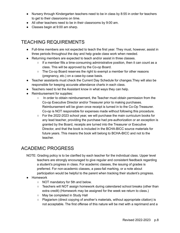- Nursery through Kindergarten teachers need to be in class by 8:55 in order for teachers to get to their classrooms on time.
- All other teachers need to be in their classrooms by 9:00 am.
- Classes begin at 9:00 am sharp.

#### TEACHING REQUIREMENTS

- Full-time members are not expected to teach the first year. They must, however, assist in three periods throughout the day and help grade class work when needed.
- Returning members are expected to teach and/or assist in three classes.
	- $\circ$  If a member fills a time-consuming administrative position, then it can count as a class. This will be approved by the Co-op Board.
	- $\circ$  The Co-op Board reserves the right to exempt a member for other reasons (pregnancy, etc.) on a case-by-case basis.
- Teacher assistants must check the Current Day Schedule for changes.They will also be responsible for keeping accurate attendance charts in each class.
- Teachers need to let the Assistant know in what ways they can help.
- Reimbursement for supplies:
	- In order to obtain reimbursement, the Teacher must obtain permission from the Co-op Executive Director and/or Treasurer prior to making purchases. Reimbursement will be given once receipt is turned in to the Co-Op Treasurer. Co-op is NOT responsible for expenses made without following this procedure.
	- $\circ$  For the 2022-2023 school year, we will purchase the main curriculum books for any lead teacher, providing the purchase had pre-authorization or an exception is granted by the Board, receipts are turned into the Treasurer or Executive Director, and that the book is included in the BCHA-BICC source materials for future years. This means the book will belong to BCHA-BICC and not to the teacher.

#### ACADEMIC PROGRESS

- NOTE: Grading policy is to be clarified by each teacher for the individual class. Upper level teachers are strongly encouraged to give regular and consistent feedback regarding a student's progress in class. For academic classes, the issuing of grades is preferred. For non-academic classes, a pass-fail marking, or a note about participation would be helpful to the parent when tracking their student's progress.
- Homework
	- NOT mandatory for 5th and below.
	- Teachers will NOT assign homework during calendared school breaks (other than extra credit) (Homework may be assigned for the week we return to class.)
	- May be completed in Study Hall
	- Plagiarism (direct copying of another's materials, without appropriate citation) is not acceptable. The first offense of this nature will be met with a reprimand and a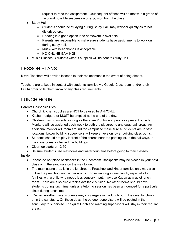request to redo the assignment. A subsequent offense will be met with a grade of zero and possible suspension or expulsion from the class.

- Study Hall
	- $\circ$  Students should be studying during Study Hall; may whisper quietly as to not disturb others.
	- Reading is a good option if no homework is available.
	- Parents are responsible to make sure students have assignments to work on during study hall.
	- Music with headphones is acceptable
	- NO ONLINE GAMING!
- Music Classes: Students without supplies will be sent to Study Hall.

#### LESSON PLANS

**Note:** Teachers will provide lessons to their replacement in the event of being absent.

Teachers are to keep in contact with students' families via Google Classroom and/or their BCHA gmail to let them know of any class requirements.

#### LUNCH HOUR

Parents Responsibilities:

- Church kitchen supplies are NOT to be used by ANYONE.
- Kitchen refrigerator MUST be emptied at the end of the day.
- Children may go outside as long as there are 2 outside supervisors present outside. Monitors will be assigned each week to both the playground and gaga ball areas. An additional monitor will roam around the campus to make sure all students are in safe locations. Lower building supervisors will keep an eye on lower building classrooms.
- Students should not play in front of the church near the parking lot, in the hallways, in the classrooms, or behind the buildings.
- Clean-up starts at 12:50

● Be sure students use restrooms and water fountains before going to their classes.

Inside:

- Please do not place backpacks in the lunchroom. Backpacks may be placed in your next class or in the sanctuary on the way to lunch.
- The main eating area is in the lunchroom. Preschool and kinder families only may also utilize the preschool and kinder rooms. Those wanting a quiet lunch, especially for families with a child who needs less sensory input, may use Kappa as a quiet lunch room. There are also picnic tables available outside. No other rooms should have students during lunchtime, unless a tutoring session has been announced for a particular class during lunchtime.
- On bad weather days, students may congregate in the lunchroom, the quiet lunchroom, or in the sanctuary. On those days, the outdoor supervisors will be posted in the sanctuary to supervise. The quiet lunch and roaming supervisors will stay in their regular areas.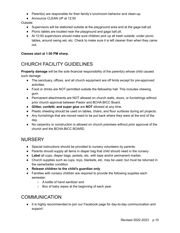- Parent(s) are responsible for their family's lunchroom behavior and clean-up.
- Announce CLEAN UP at 12:50

Outside:

- Supervisors will be stationed outside at the playground area and at the gaga ball pit.
- Picnic tables are located near the playground and gaga ball pit.
- At 12:50 supervisors should make sure children pick up all trash outside: under picnic tables, around swing set, etc. Check to make sure it is left cleaner than when they came out.

#### **Classes start at 1:00 PM sharp.**

#### CHURCH FACILITY GUIDELINES

**Property damage** will be the sole financial responsibility of the parent(s) whose child caused such damage.

- The sanctuary, offices, and all church equipment are off limits except for pre-approved activities.
- Food or drinks are NOT permitted outside the fellowship hall. This includes chewing gum.
- Permanent attachments are NOT allowed on church walls, doors, or furnishings without prior church approval between Pastor and BCHA-BICC Board.
- **Glitter, confetti, and super glue** are **NOT** allowed at any time.
- Plastic sheeting should be used on tables, chairs, and floor surfaces during art projects.
- Any furnishings that are moved need to be put back where they were at the end of the day.
- No carpentry or construction is allowed on church premises without prior approval of the church and the BCHA-BICC BOARD.

#### **NURSERY**

- Special instructions should be provided to nursery volunteers by parents.
- Parents should supply all items in diaper bag that child should need in the nursery
- **Label** all cups, diaper bags, jackets, etc. with tape and/or permanent marker.
- Church supplies such as cups, toys, blankets, etc. may be used, but must be returned in the same/better condition
- **● Release children to the child's guardian only**
- Families with nursery children are required to provide the following supplies each semester:
	- A bottle of hand sanitizer and
	- Box of baby wipes at the beginning of each year.

#### COMMUNICATION

● It is highly recommended to join our Facebook page for day-to-day communication and support.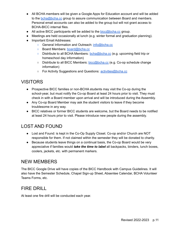- All BCHA members will be given a Google Apps for Education account and will be added to the [bcha@bcha.cc](mailto:bcha@bastropchristianhomeschool.org) group to assure communication between Board and members. Personal email accounts can also be added to the group but will not grant access to BCHA-BICC internal files.
- All active BICC participants will be added to the [bicc@bcha.cc](mailto:bicc@bastropchristianhomeschool.org) group.
- Meetings are held occasionally at lunch (e.g. winter formal and graduation planning).
- Important Email Addresses:
	- General Information and Outreach: [info@bcha.cc](mailto:info@bastropchristianhomeschool.org)
	- Board Members: [board@bcha.cc](mailto:board@bastropchristianhomeschool.org)
	- Distribute to all BCHA Members: [bcha@bcha.cc](mailto:bcha@bastropchristianhomeschool.org) (e.g. upcoming field trip or homeschool day information)
	- Distribute to all BICC Members: [bicc@bcha.cc](mailto:bicc@bastropchristianhomeschool.org) (e.g. Co-op schedule change information)
	- For Activity Suggestions and Questions: [activities@bcha.cc](mailto:activities@bastropchristianhomeschool.org)

#### VISITORS

- Prospective BICC families or non-BCHA students may visit the Co-op during the school-year, but must notify the Co-op Board at least 24 hours prior to visit. They must check in with a Board member upon arrival and will be introduced during the Assembly.
- Any Co-op Board Member may ask the student visitors to leave if they become troublesome in any way.
- BICC relatives or former BICC students are welcome, but the Board needs to be notified at least 24 hours prior to visit. Please introduce new people during the assembly.

#### LOST AND FOUND

- Lost and Found: is kept in the Co-Op Supply Closet. Co-op and/or Church are NOT responsible for them. If not claimed within the semester they will be donated to charity.
- Because students leave things on a continual basis, the Co-op Board would be very appreciative if families would *take the time to label* all backpacks, binders, lunch boxes, coolers, jackets, etc. with permanent markers.

#### NEW MEMBERS

The BICC Google Drive will have copies of the BICC Handbook with Campus Guidelines. It will also have the Semester Schedule, Chapel Sign-up Sheet, Absentee Calendar, BCHA Volunteer Teams Forms, etc.

#### FIRE DRILL

At least one fire drill will be conducted each year.